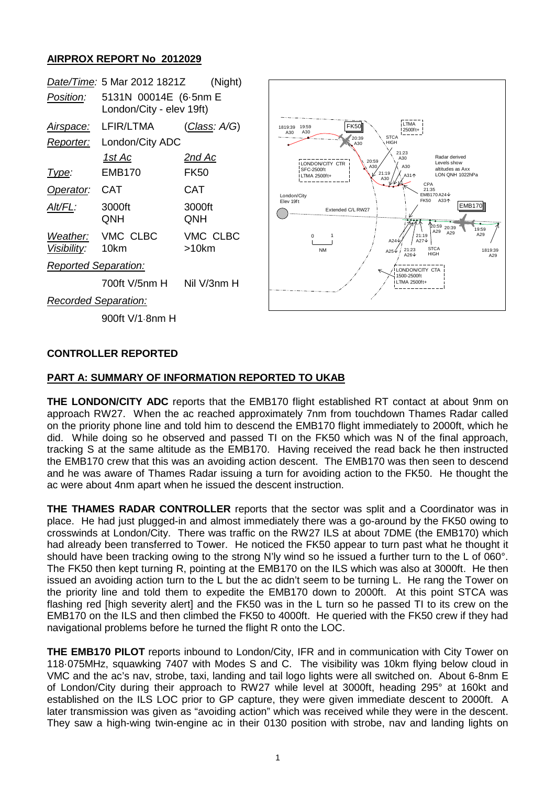## **AIRPROX REPORT No 2012029**

|                             | Date/Time: 5 Mar 2012 1821Z                       | (Night)              |
|-----------------------------|---------------------------------------------------|----------------------|
| Position:                   | 5131N 00014E (6.5nm E<br>London/City - elev 19ft) |                      |
| <u>Airspace:</u>            | LFIR/LTMA                                         | <u>(Class</u> : A/G) |
| Reporter:                   | London/City ADC                                   |                      |
|                             | 1st Ac                                            | <u>2nd Ac</u>        |
| Type:                       | <b>EMB170</b>                                     | FK50                 |
| Operator:                   | CAT                                               | CAT                  |
| AIt/FL:                     | 3000ft<br>ONH                                     | 3000ft<br>QNH        |
| Visibility: 10km            | Weather: VMC CLBC                                 | VMC CLBC<br>>10km    |
| <b>Reported Separation:</b> |                                                   |                      |
|                             | 700ft V/5nm H                                     | Nil V/3nm H          |
| <b>Recorded Separation:</b> |                                                   |                      |



900ft V/1·8nm H

### **CONTROLLER REPORTED**

### **PART A: SUMMARY OF INFORMATION REPORTED TO UKAB**

**THE LONDON/CITY ADC** reports that the EMB170 flight established RT contact at about 9nm on approach RW27. When the ac reached approximately 7nm from touchdown Thames Radar called on the priority phone line and told him to descend the EMB170 flight immediately to 2000ft, which he did. While doing so he observed and passed TI on the FK50 which was N of the final approach, tracking S at the same altitude as the EMB170. Having received the read back he then instructed the EMB170 crew that this was an avoiding action descent. The EMB170 was then seen to descend and he was aware of Thames Radar issuing a turn for avoiding action to the FK50. He thought the ac were about 4nm apart when he issued the descent instruction.

**THE THAMES RADAR CONTROLLER** reports that the sector was split and a Coordinator was in place. He had just plugged-in and almost immediately there was a go-around by the FK50 owing to crosswinds at London/City. There was traffic on the RW27 ILS at about 7DME (the EMB170) which had already been transferred to Tower. He noticed the FK50 appear to turn past what he thought it should have been tracking owing to the strong N'ly wind so he issued a further turn to the L of 060°. The FK50 then kept turning R, pointing at the EMB170 on the ILS which was also at 3000ft. He then issued an avoiding action turn to the L but the ac didn't seem to be turning L. He rang the Tower on the priority line and told them to expedite the EMB170 down to 2000ft. At this point STCA was flashing red [high severity alert] and the FK50 was in the L turn so he passed TI to its crew on the EMB170 on the ILS and then climbed the FK50 to 4000ft. He queried with the FK50 crew if they had navigational problems before he turned the flight R onto the LOC.

**THE EMB170 PILOT** reports inbound to London/City, IFR and in communication with City Tower on 118·075MHz, squawking 7407 with Modes S and C. The visibility was 10km flying below cloud in VMC and the ac's nav, strobe, taxi, landing and tail logo lights were all switched on. About 6-8nm E of London/City during their approach to RW27 while level at 3000ft, heading 295° at 160kt and established on the ILS LOC prior to GP capture, they were given immediate descent to 2000ft. A later transmission was given as "avoiding action" which was received while they were in the descent. They saw a high-wing twin-engine ac in their 0130 position with strobe, nav and landing lights on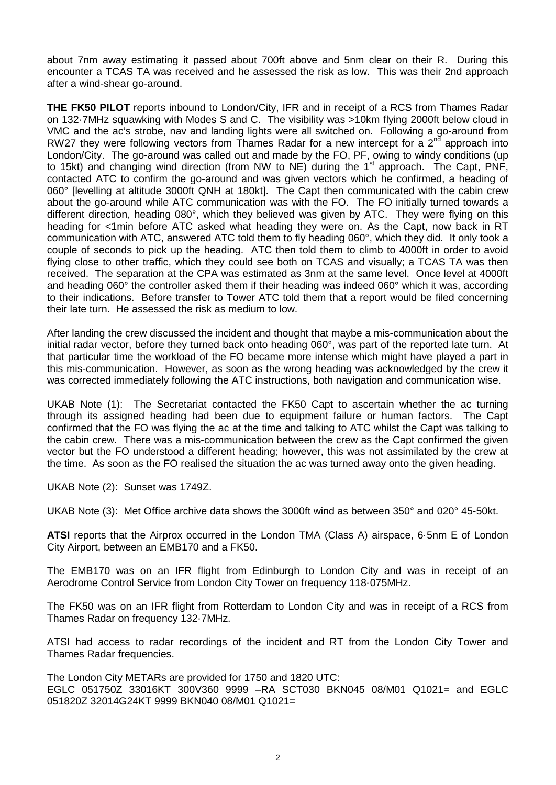about 7nm away estimating it passed about 700ft above and 5nm clear on their R. During this encounter a TCAS TA was received and he assessed the risk as low. This was their 2nd approach after a wind-shear go-around.

**THE FK50 PILOT** reports inbound to London/City, IFR and in receipt of a RCS from Thames Radar on 132·7MHz squawking with Modes S and C. The visibility was >10km flying 2000ft below cloud in VMC and the ac's strobe, nav and landing lights were all switched on. Following a go-around from RW27 they were following vectors from Thames Radar for a new intercept for a  $2<sup>nd</sup>$  approach into London/City. The go-around was called out and made by the FO, PF, owing to windy conditions (up to 15kt) and changing wind direction (from NW to NE) during the  $1<sup>st</sup>$  approach. The Capt, PNF, contacted ATC to confirm the go-around and was given vectors which he confirmed, a heading of 060° [levelling at altitude 3000ft QNH at 180kt]. The Capt then communicated with the cabin crew about the go-around while ATC communication was with the FO. The FO initially turned towards a different direction, heading 080°, which they believed was given by ATC. They were flying on this heading for <1min before ATC asked what heading they were on. As the Capt, now back in RT communication with ATC, answered ATC told them to fly heading 060°, which they did. It only took a couple of seconds to pick up the heading. ATC then told them to climb to 4000ft in order to avoid flying close to other traffic, which they could see both on TCAS and visually; a TCAS TA was then received. The separation at the CPA was estimated as 3nm at the same level. Once level at 4000ft and heading 060° the controller asked them if their heading was indeed 060° which it was, according to their indications. Before transfer to Tower ATC told them that a report would be filed concerning their late turn. He assessed the risk as medium to low.

After landing the crew discussed the incident and thought that maybe a mis-communication about the initial radar vector, before they turned back onto heading 060°, was part of the reported late turn. At that particular time the workload of the FO became more intense which might have played a part in this mis-communication. However, as soon as the wrong heading was acknowledged by the crew it was corrected immediately following the ATC instructions, both navigation and communication wise.

UKAB Note (1): The Secretariat contacted the FK50 Capt to ascertain whether the ac turning through its assigned heading had been due to equipment failure or human factors. The Capt confirmed that the FO was flying the ac at the time and talking to ATC whilst the Capt was talking to the cabin crew. There was a mis-communication between the crew as the Capt confirmed the given vector but the FO understood a different heading; however, this was not assimilated by the crew at the time. As soon as the FO realised the situation the ac was turned away onto the given heading.

UKAB Note (2): Sunset was 1749Z.

UKAB Note (3): Met Office archive data shows the 3000ft wind as between 350° and 020° 45-50kt.

**ATSI** reports that the Airprox occurred in the London TMA (Class A) airspace, 6·5nm E of London City Airport, between an EMB170 and a FK50.

The EMB170 was on an IFR flight from Edinburgh to London City and was in receipt of an Aerodrome Control Service from London City Tower on frequency 118·075MHz.

The FK50 was on an IFR flight from Rotterdam to London City and was in receipt of a RCS from Thames Radar on frequency 132·7MHz.

ATSI had access to radar recordings of the incident and RT from the London City Tower and Thames Radar frequencies.

The London City METARs are provided for 1750 and 1820 UTC: EGLC 051750Z 33016KT 300V360 9999 –RA SCT030 BKN045 08/M01 Q1021= and EGLC 051820Z 32014G24KT 9999 BKN040 08/M01 Q1021=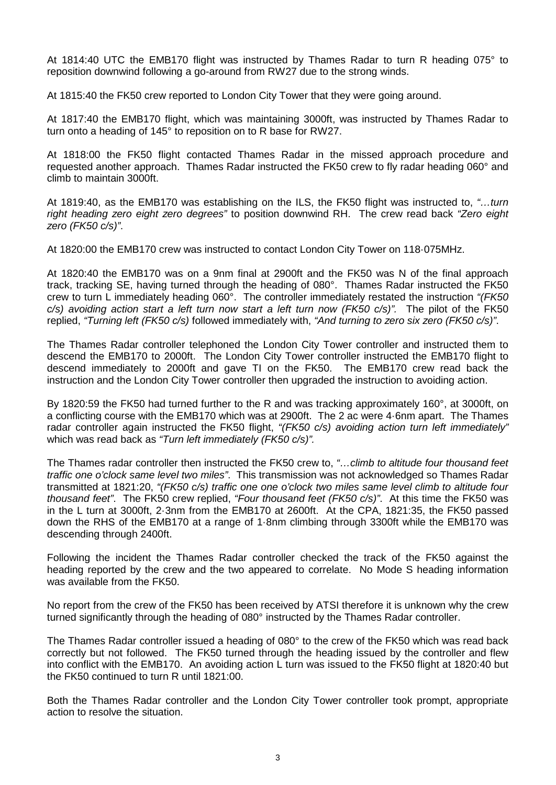At 1814:40 UTC the EMB170 flight was instructed by Thames Radar to turn R heading 075° to reposition downwind following a go-around from RW27 due to the strong winds.

At 1815:40 the FK50 crew reported to London City Tower that they were going around.

At 1817:40 the EMB170 flight, which was maintaining 3000ft, was instructed by Thames Radar to turn onto a heading of 145° to reposition on to R base for RW27.

At 1818:00 the FK50 flight contacted Thames Radar in the missed approach procedure and requested another approach. Thames Radar instructed the FK50 crew to fly radar heading 060° and climb to maintain 3000ft.

At 1819:40, as the EMB170 was establishing on the ILS, the FK50 flight was instructed to, *"…turn right heading zero eight zero degrees"* to position downwind RH. The crew read back *"Zero eight zero (FK50 c/s)"*.

At 1820:00 the EMB170 crew was instructed to contact London City Tower on 118·075MHz.

At 1820:40 the EMB170 was on a 9nm final at 2900ft and the FK50 was N of the final approach track, tracking SE, having turned through the heading of 080°. Thames Radar instructed the FK50 crew to turn L immediately heading 060°. The controller immediately restated the instruction *"(FK50 c/s) avoiding action start a left turn now start a left turn now (FK50 c/s)".* The pilot of the FK50 replied, *"Turning left (FK50 c/s)* followed immediately with, *"And turning to zero six zero (FK50 c/s)"*.

The Thames Radar controller telephoned the London City Tower controller and instructed them to descend the EMB170 to 2000ft. The London City Tower controller instructed the EMB170 flight to descend immediately to 2000ft and gave TI on the FK50. The EMB170 crew read back the instruction and the London City Tower controller then upgraded the instruction to avoiding action.

By 1820:59 the FK50 had turned further to the R and was tracking approximately 160°, at 3000ft, on a conflicting course with the EMB170 which was at 2900ft. The 2 ac were 4·6nm apart. The Thames radar controller again instructed the FK50 flight, *"(FK50 c/s) avoiding action turn left immediately"* which was read back as *"Turn left immediately (FK50 c/s)".*

The Thames radar controller then instructed the FK50 crew to, *"…climb to altitude four thousand feet traffic one o'clock same level two miles"*. This transmission was not acknowledged so Thames Radar transmitted at 1821:20, *"(FK50 c/s) traffic one one o'clock two miles same level climb to altitude four thousand feet"*. The FK50 crew replied, *"Four thousand feet (FK50 c/s)"*. At this time the FK50 was in the L turn at 3000ft, 2·3nm from the EMB170 at 2600ft. At the CPA, 1821:35, the FK50 passed down the RHS of the EMB170 at a range of 1·8nm climbing through 3300ft while the EMB170 was descending through 2400ft.

Following the incident the Thames Radar controller checked the track of the FK50 against the heading reported by the crew and the two appeared to correlate. No Mode S heading information was available from the FK50.

No report from the crew of the FK50 has been received by ATSI therefore it is unknown why the crew turned significantly through the heading of 080° instructed by the Thames Radar controller.

The Thames Radar controller issued a heading of 080° to the crew of the FK50 which was read back correctly but not followed. The FK50 turned through the heading issued by the controller and flew into conflict with the EMB170. An avoiding action L turn was issued to the FK50 flight at 1820:40 but the FK50 continued to turn R until 1821:00.

Both the Thames Radar controller and the London City Tower controller took prompt, appropriate action to resolve the situation.